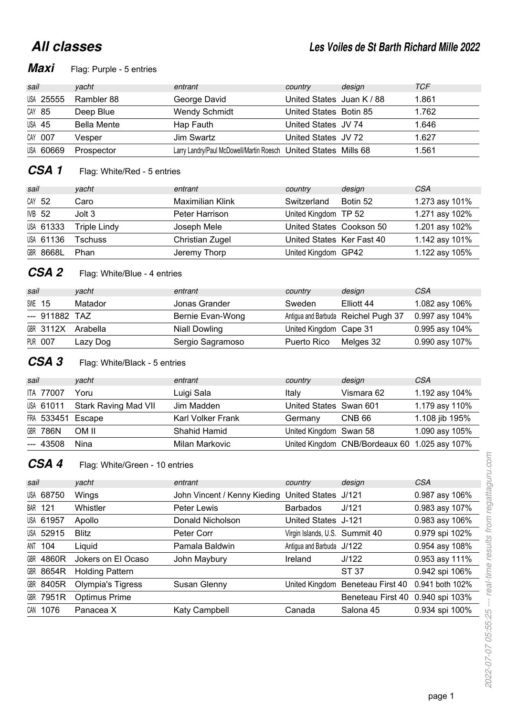## **All classes**

## **Maxi** Flag: Purple - 5 entries

| sail      | vacht              | entrant                                                         | country                   | design | TCF   |
|-----------|--------------------|-----------------------------------------------------------------|---------------------------|--------|-------|
| USA 25555 | Rambler 88         | George David                                                    | United States Juan K / 88 |        | 1.861 |
| CAY 85    | Deep Blue          | <b>Wendy Schmidt</b>                                            | United States Botin 85    |        | 1.762 |
| USA 45    | <b>Bella Mente</b> | Hap Fauth                                                       | United States JV 74       |        | 1.646 |
| CAY 007   | Vesper             | Jim Swartz                                                      | United States JV 72       |        | 1.627 |
| USA 60669 | Prospector         | Larry Landry/Paul McDowell/Martin Roesch United States Mills 68 |                           |        | 1.561 |

## **CSA 1** Flag: White/Red - 5 entries

| sail          |           | yacht        | entrant          | country                   | design   | <b>CSA</b>     |
|---------------|-----------|--------------|------------------|---------------------------|----------|----------------|
| CAY 52        |           | Caro         | Maximilian Klink | Switzerland               | Botin 52 | 1.273 asy 101% |
| <b>IVB 52</b> |           | Jolt 3       | Peter Harrison   | United Kingdom TP 52      |          | 1.271 asy 102% |
|               | USA 61333 | Triple Lindy | Joseph Mele      | United States Cookson 50  |          | 1.201 asy 102% |
|               | USA 61136 | Tschuss      | Christian Zugel  | United States Ker Fast 40 |          | 1.142 asy 101% |
|               | GBR 8668L | Phan         | Jeremy Thorp     | United Kingdom GP42       |          | 1.122 asy 105% |

## **CSA 2** Flag: White/Blue - 4 entries

| sail |                    | vacht    | entrant          | country                | design                              | CSA              |
|------|--------------------|----------|------------------|------------------------|-------------------------------------|------------------|
|      | <b>SWE 15</b>      | Matador  | Jonas Grander    | Sweden                 | Elliott 44                          | 1.082 asy 106%   |
|      | --- 911882 TAZ     |          | Bernie Evan-Wong |                        | Antigua and Barbuda Reichel Pugh 37 | 0.997 asy 104%   |
|      | GBR 3112X Arabella |          | Niall Dowling    | United Kingdom Cape 31 |                                     | $0.995$ asy 104% |
|      | <b>PUR 007</b>     | Lazy Dog | Sergio Sagramoso | Puerto Rico            | Melges 32                           | 0.990 asy 107%   |

## **CSA 3** Flag: White/Black - 5 entries

| sail |                   | yacht                | entrant                  | country                | design                                        | <b>CSA</b>     |
|------|-------------------|----------------------|--------------------------|------------------------|-----------------------------------------------|----------------|
|      | ITA 77007         | Yoru                 | Luigi Sala               | Italy                  | Vismara 62                                    | 1.192 asy 104% |
|      | USA 61011         | Stark Raving Mad VII | Jim Madden               | United States Swan 601 |                                               | 1.179 asy 110% |
|      | FRA 533451 Escape |                      | <b>Karl Volker Frank</b> | Germany                | CNB 66                                        | 1.108 jib 195% |
|      | <b>GBR 786N</b>   | OM II                | Shahid Hamid             | United Kingdom Swan 58 |                                               | 1.090 asy 105% |
|      | --- 43508         | Nina                 | Milan Markovic           |                        | United Kingdom CNB/Bordeaux 60 1.025 asy 107% |                |

## **CSA 4** Flag: White/Green - 10 entries

| sail |                  | vacht                    | entrant                      | country                        | design                           | <b>CSA</b>      |
|------|------------------|--------------------------|------------------------------|--------------------------------|----------------------------------|-----------------|
|      | USA 68750        | Wings                    | John Vincent / Kenny Kieding | United States J/121            |                                  | 0.987 asy 106%  |
|      | <b>BAR 121</b>   | Whistler                 | Peter Lewis                  | <b>Barbados</b>                | J/121                            | 0.983 asy 107%  |
|      | USA 61957        | Apollo                   | Donald Nicholson             | United States J-121            |                                  | 0.983 asy 106%  |
|      | USA 52915        | <b>Blitz</b>             | Peter Corr                   | Virgin Islands, U.S. Summit 40 |                                  | 0.979 spi 102%  |
|      | <b>ANT 104</b>   | Liquid                   | Pamala Baldwin               | Antigua and Barbuda J/122      |                                  | 0.954 asy 108%  |
|      | <b>GBR 4860R</b> | Jokers on El Ocaso       | John Maybury                 | Ireland                        | J/122                            | 0.953 asy 111%  |
|      | GBR 8654R        | <b>Holding Pattern</b>   |                              |                                | ST 37                            | 0.942 spi 106%  |
|      | GBR 8405R        | <b>Olympia's Tigress</b> | Susan Glenny                 |                                | United Kingdom Beneteau First 40 | 0.941 both 102% |
|      | GBR 7951R        | Optimus Prime            |                              |                                | Beneteau First 40 0.940 spi 103% |                 |
|      | CAN 1076         | Panacea X                | Katy Campbell                | Canada                         | Salona 45                        | 0.934 spi 100%  |